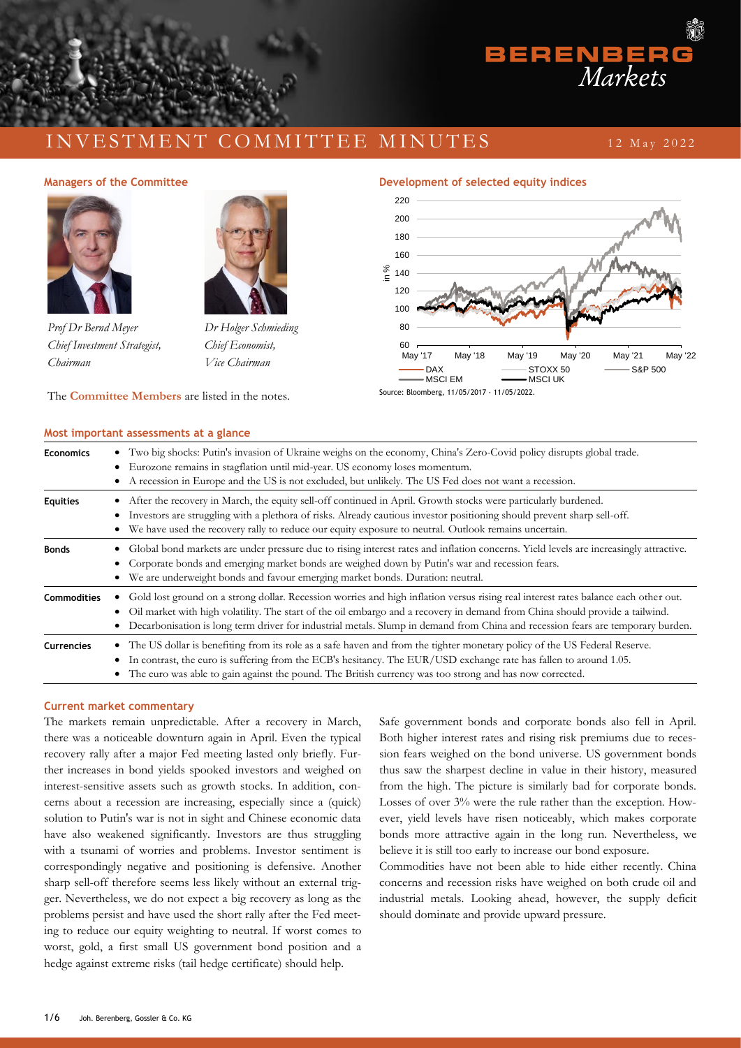## I N V E S T M E N T C O M M I T T E E M I N U T E S

### 1 2 M a y 2 0 2 2

#### **Managers of the Committee**



*Prof Dr Bernd Meyer Chief Investment Strategist, Chairman*



*Dr Holger Schmieding Chief Economist, Vice Chairman*





 $BEREN = E R$ 



## **Most important assessments at a glance Economics** • Two big shocks: Putin's invasion of Ukraine weighs on the economy, China's Zero-Covid policy disrupts global trade. • Eurozone remains in stagflation until mid-year. US economy loses momentum. • A recession in Europe and the US is not excluded, but unlikely. The US Fed does not want a recession. **Equities** • After the recovery in March, the equity sell-off continued in April. Growth stocks were particularly burdened. • Investors are struggling with a plethora of risks. Already cautious investor positioning should prevent sharp sell-off. We have used the recovery rally to reduce our equity exposure to neutral. Outlook remains uncertain. **Bonds** • Global bond markets are under pressure due to rising interest rates and inflation concerns. Yield levels are increasingly attractive. • Corporate bonds and emerging market bonds are weighed down by Putin's war and recession fears. • We are underweight bonds and favour emerging market bonds. Duration: neutral. **Commodities** • Gold lost ground on a strong dollar. Recession worries and high inflation versus rising real interest rates balance each other out. • Oil market with high volatility. The start of the oil embargo and a recovery in demand from China should provide a tailwind. • Decarbonisation is long term driver for industrial metals. Slump in demand from China and recession fears are temporary burden. **Currencies** • The US dollar is benefiting from its role as a safe haven and from the tighter monetary policy of the US Federal Reserve. • In contrast, the euro is suffering from the ECB's hesitancy. The EUR/USD exchange rate has fallen to around 1.05. • The euro was able to gain against the pound. The British currency was too strong and has now corrected.

#### **Current market commentary**

The markets remain unpredictable. After a recovery in March, there was a noticeable downturn again in April. Even the typical recovery rally after a major Fed meeting lasted only briefly. Further increases in bond yields spooked investors and weighed on interest-sensitive assets such as growth stocks. In addition, concerns about a recession are increasing, especially since a (quick) solution to Putin's war is not in sight and Chinese economic data have also weakened significantly. Investors are thus struggling with a tsunami of worries and problems. Investor sentiment is correspondingly negative and positioning is defensive. Another sharp sell-off therefore seems less likely without an external trigger. Nevertheless, we do not expect a big recovery as long as the problems persist and have used the short rally after the Fed meeting to reduce our equity weighting to neutral. If worst comes to worst, gold, a first small US government bond position and a hedge against extreme risks (tail hedge certificate) should help.

Safe government bonds and corporate bonds also fell in April. Both higher interest rates and rising risk premiums due to recession fears weighed on the bond universe. US government bonds thus saw the sharpest decline in value in their history, measured from the high. The picture is similarly bad for corporate bonds. Losses of over 3% were the rule rather than the exception. However, yield levels have risen noticeably, which makes corporate bonds more attractive again in the long run. Nevertheless, we believe it is still too early to increase our bond exposure.

Commodities have not been able to hide either recently. China concerns and recession risks have weighed on both crude oil and industrial metals. Looking ahead, however, the supply deficit should dominate and provide upward pressure.

## 1/6 Joh. Berenberg, Gossler & Co. KG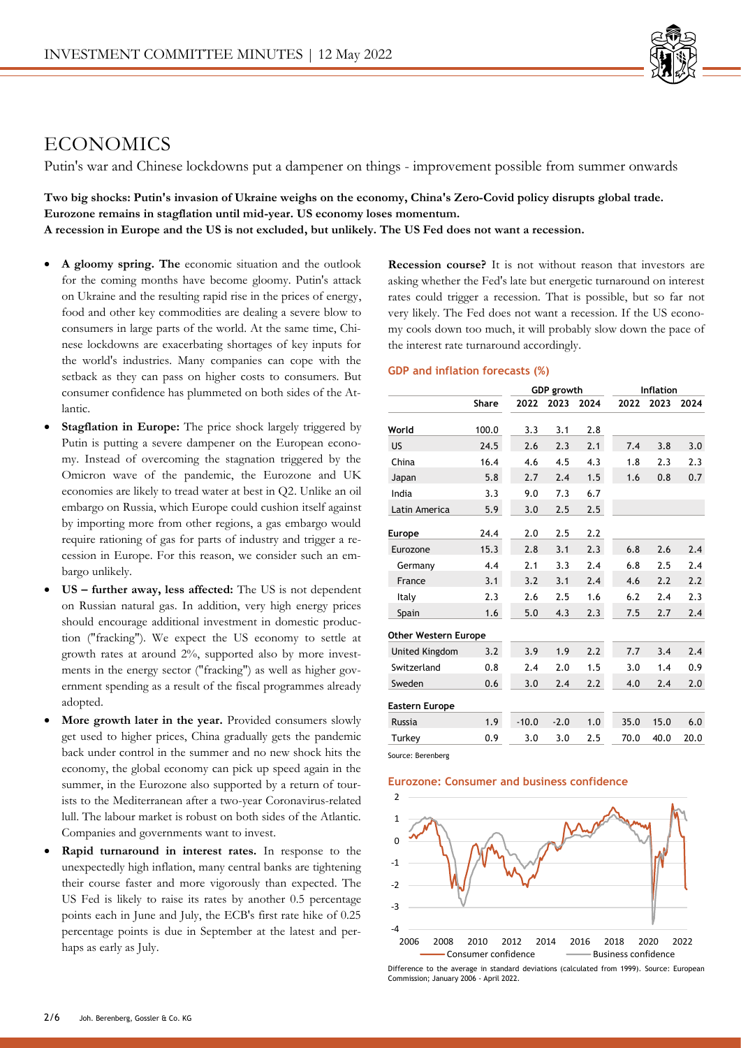

# **ECONOMICS**

Putin's war and Chinese lockdowns put a dampener on things - improvement possible from summer onwards

**Two big shocks: Putin's invasion of Ukraine weighs on the economy, China's Zero-Covid policy disrupts global trade. Eurozone remains in stagflation until mid-year. US economy loses momentum. A recession in Europe and the US is not excluded, but unlikely. The US Fed does not want a recession.**

- **A gloomy spring. The** economic situation and the outlook for the coming months have become gloomy. Putin's attack on Ukraine and the resulting rapid rise in the prices of energy, food and other key commodities are dealing a severe blow to consumers in large parts of the world. At the same time, Chinese lockdowns are exacerbating shortages of key inputs for the world's industries. Many companies can cope with the setback as they can pass on higher costs to consumers. But consumer confidence has plummeted on both sides of the Atlantic.
- **Stagflation in Europe:** The price shock largely triggered by Putin is putting a severe dampener on the European economy. Instead of overcoming the stagnation triggered by the Omicron wave of the pandemic, the Eurozone and UK economies are likely to tread water at best in Q2. Unlike an oil embargo on Russia, which Europe could cushion itself against by importing more from other regions, a gas embargo would require rationing of gas for parts of industry and trigger a recession in Europe. For this reason, we consider such an embargo unlikely.
- **US – further away, less affected:** The US is not dependent on Russian natural gas. In addition, very high energy prices should encourage additional investment in domestic production ("fracking"). We expect the US economy to settle at growth rates at around 2%, supported also by more investments in the energy sector ("fracking") as well as higher government spending as a result of the fiscal programmes already adopted.
- More growth later in the year. Provided consumers slowly get used to higher prices, China gradually gets the pandemic back under control in the summer and no new shock hits the economy, the global economy can pick up speed again in the summer, in the Eurozone also supported by a return of tourists to the Mediterranean after a two-year Coronavirus-related lull. The labour market is robust on both sides of the Atlantic. Companies and governments want to invest.
- **Rapid turnaround in interest rates.** In response to the unexpectedly high inflation, many central banks are tightening their course faster and more vigorously than expected. The US Fed is likely to raise its rates by another 0.5 percentage points each in June and July, the ECB's first rate hike of 0.25 percentage points is due in September at the latest and perhaps as early as July.

**Recession course?** It is not without reason that investors are asking whether the Fed's late but energetic turnaround on interest rates could trigger a recession. That is possible, but so far not very likely. The Fed does not want a recession. If the US economy cools down too much, it will probably slow down the pace of the interest rate turnaround accordingly.

### **GDP and inflation forecasts (%)**

|                             |       | <b>GDP</b> growth |        | <b>Inflation</b> |      |      |      |
|-----------------------------|-------|-------------------|--------|------------------|------|------|------|
|                             | Share | 2022              | 2023   | 2024             | 2022 | 2023 | 2024 |
| World                       | 100.0 | 3.3               | 3.1    | 2.8              |      |      |      |
| US                          | 24.5  | 2.6               | 2.3    | 2.1              | 7.4  | 3.8  | 3.0  |
| China                       | 16.4  | 4.6               | 4.5    | 4.3              | 1.8  | 2.3  | 2.3  |
| Japan                       | 5.8   | 2.7               | 2.4    | 1.5              | 1.6  | 0.8  | 0.7  |
| India                       | 3.3   | 9.0               | 7.3    | 6.7              |      |      |      |
| Latin America               | 5.9   | 3.0               | 2.5    | 2.5              |      |      |      |
| <b>Europe</b>               | 24.4  | 2.0               | 2.5    | 2.2              |      |      |      |
| Eurozone                    | 15.3  | 2.8               | 3.1    | 2.3              | 6.8  | 2.6  | 2.4  |
| Germany                     | 4.4   | 2.1               | 3.3    | 2.4              | 6.8  | 2.5  | 2.4  |
| France                      | 3.1   | 3.2               | 3.1    | 2.4              | 4.6  | 2.2  | 2.2  |
| Italy                       | 2.3   | 2.6               | 2.5    | 1.6              | 6.2  | 2.4  | 2.3  |
| Spain                       | 1.6   | 5.0               | 4.3    | 2.3              | 7.5  | 2.7  | 2.4  |
| <b>Other Western Europe</b> |       |                   |        |                  |      |      |      |
| <b>United Kingdom</b>       | 3.2   | 3.9               | 1.9    | 2.2              | 7.7  | 3.4  | 2.4  |
| Switzerland                 | 0.8   | 2.4               | 2.0    | 1.5              | 3.0  | 1.4  | 0.9  |
| Sweden                      | 0.6   | 3.0               | 2.4    | 2.2              | 4.0  | 2.4  | 2.0  |
| <b>Eastern Europe</b>       |       |                   |        |                  |      |      |      |
| <b>Russia</b>               | 1.9   | $-10.0$           | $-2.0$ | 1.0              | 35.0 | 15.0 | 6.0  |
| Turkey                      | 0.9   | 3.0               | 3.0    | 2.5              | 70.0 | 40.0 | 20.0 |

Source: Berenberg

### **Eurozone: Consumer and business confidence**



Difference to the average in standard deviations (calculated from 1999). Source: European Commission; January 2006 - April 2022.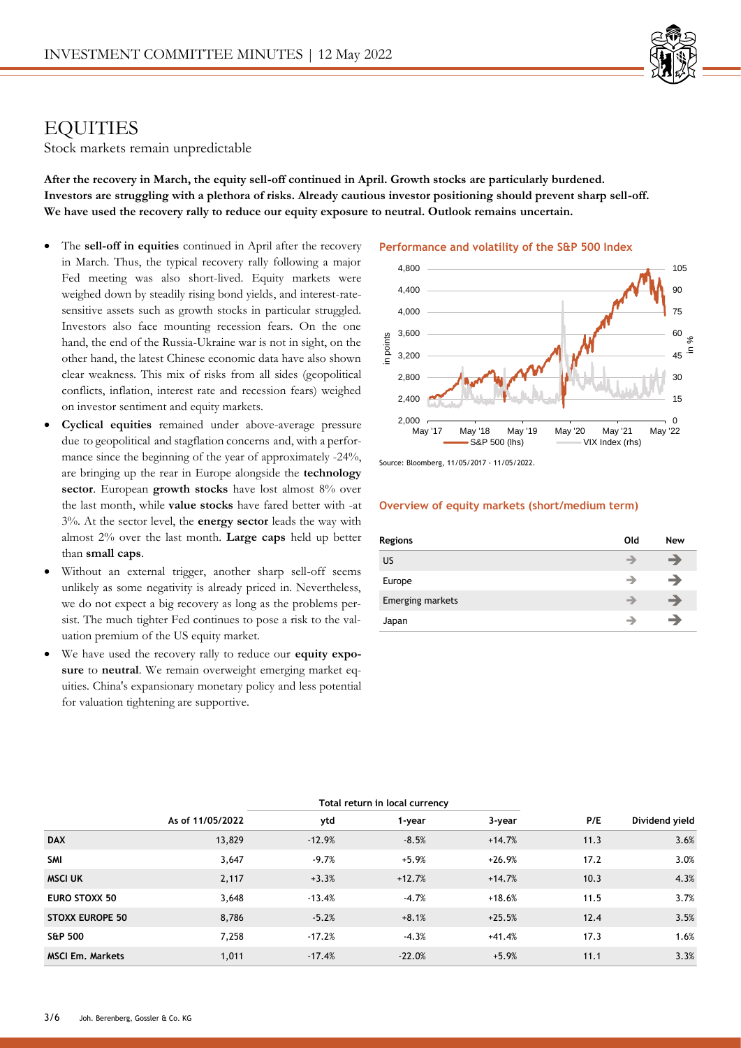

## **EQUITIES**

Stock markets remain unpredictable

**After the recovery in March, the equity sell-off continued in April. Growth stocks are particularly burdened. Investors are struggling with a plethora of risks. Already cautious investor positioning should prevent sharp sell-off. We have used the recovery rally to reduce our equity exposure to neutral. Outlook remains uncertain.** 

- The **sell-off in equities** continued in April after the recovery in March. Thus, the typical recovery rally following a major Fed meeting was also short-lived. Equity markets were weighed down by steadily rising bond yields, and interest-ratesensitive assets such as growth stocks in particular struggled. Investors also face mounting recession fears. On the one hand, the end of the Russia-Ukraine war is not in sight, on the other hand, the latest Chinese economic data have also shown clear weakness. This mix of risks from all sides (geopolitical conflicts, inflation, interest rate and recession fears) weighed on investor sentiment and equity markets.
- **Cyclical equities** remained under above-average pressure due to geopolitical and stagflation concerns and, with a performance since the beginning of the year of approximately -24%, are bringing up the rear in Europe alongside the **technology sector**. European **growth stocks** have lost almost 8% over the last month, while **value stocks** have fared better with -at 3%. At the sector level, the **energy sector** leads the way with almost 2% over the last month. **Large caps** held up better than **small caps**.
- Without an external trigger, another sharp sell-off seems unlikely as some negativity is already priced in. Nevertheless, we do not expect a big recovery as long as the problems persist. The much tighter Fed continues to pose a risk to the valuation premium of the US equity market.
- We have used the recovery rally to reduce our **equity exposure** to **neutral**. We remain overweight emerging market equities. China's expansionary monetary policy and less potential for valuation tightening are supportive.

#### **Performance and volatility of the S&P 500 Index**



Source: Bloomberg, 11/05/2017 - 11/05/2022.

### **Overview of equity markets (short/medium term)**

| Regions          | Old | New |
|------------------|-----|-----|
| US               |     | →   |
| Europe           |     | →   |
| Emerging markets |     | →   |
| Japan            |     | -   |

|                         | Total return in local currency |          |          |          |      |                |
|-------------------------|--------------------------------|----------|----------|----------|------|----------------|
|                         | As of 11/05/2022               | ytd      | 1-year   | 3-year   | P/E  | Dividend yield |
| <b>DAX</b>              | 13,829                         | $-12.9%$ | $-8.5%$  | $+14.7%$ | 11.3 | 3.6%           |
| SMI                     | 3,647                          | $-9.7%$  | $+5.9%$  | $+26.9%$ | 17.2 | 3.0%           |
| <b>MSCI UK</b>          | 2,117                          | $+3.3%$  | $+12.7%$ | $+14.7%$ | 10.3 | 4.3%           |
| EURO STOXX 50           | 3,648                          | $-13.4%$ | $-4.7%$  | $+18.6%$ | 11.5 | 3.7%           |
| <b>STOXX EUROPE 50</b>  | 8,786                          | $-5.2%$  | $+8.1%$  | $+25.5%$ | 12.4 | 3.5%           |
| <b>S&amp;P 500</b>      | 7,258                          | $-17.2%$ | $-4.3%$  | +41.4%   | 17.3 | 1.6%           |
| <b>MSCI Em. Markets</b> | 1.011                          | $-17.4%$ | $-22.0%$ | $+5.9%$  | 11.1 | 3.3%           |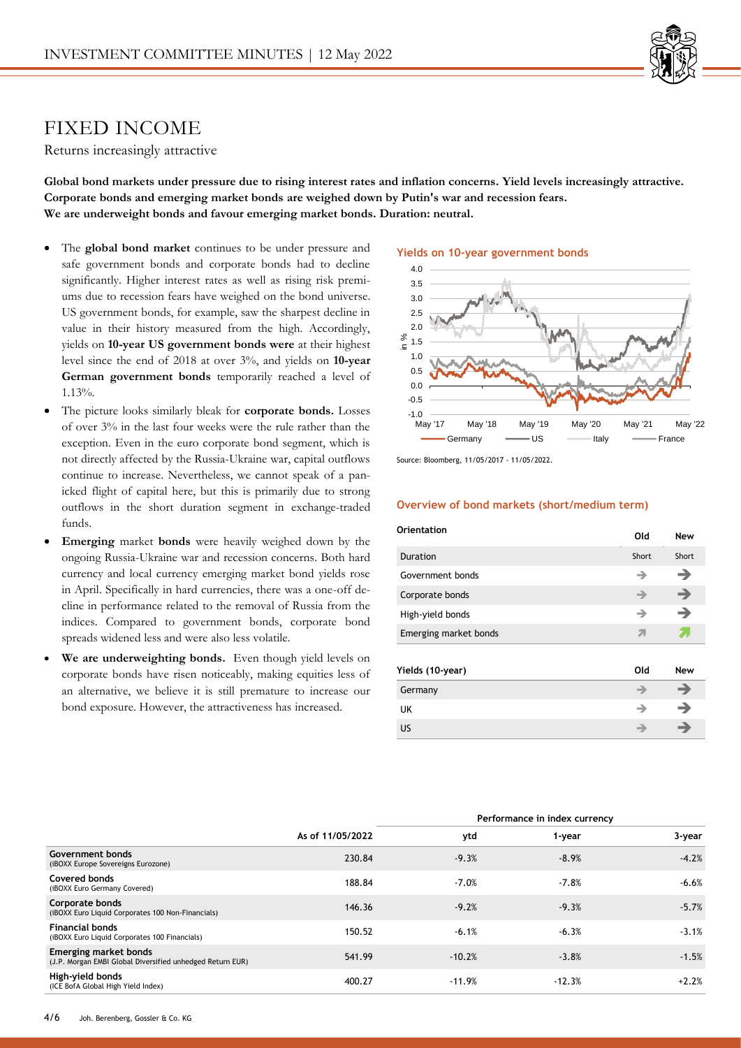

# FIXED INCOME

Returns increasingly attractive

**Global bond markets under pressure due to rising interest rates and inflation concerns. Yield levels increasingly attractive. Corporate bonds and emerging market bonds are weighed down by Putin's war and recession fears. We are underweight bonds and favour emerging market bonds. Duration: neutral.** 

- The **global bond market** continues to be under pressure and safe government bonds and corporate bonds had to decline significantly. Higher interest rates as well as rising risk premiums due to recession fears have weighed on the bond universe. US government bonds, for example, saw the sharpest decline in value in their history measured from the high. Accordingly, yields on **10-year US government bonds were** at their highest level since the end of 2018 at over 3%, and yields on **10-year German government bonds** temporarily reached a level of 1.13%.
- The picture looks similarly bleak for **corporate bonds.** Losses of over 3% in the last four weeks were the rule rather than the exception. Even in the euro corporate bond segment, which is not directly affected by the Russia-Ukraine war, capital outflows continue to increase. Nevertheless, we cannot speak of a panicked flight of capital here, but this is primarily due to strong outflows in the short duration segment in exchange-traded funds.
- **Emerging** market **bonds** were heavily weighed down by the ongoing Russia-Ukraine war and recession concerns. Both hard currency and local currency emerging market bond yields rose in April. Specifically in hard currencies, there was a one-off decline in performance related to the removal of Russia from the indices. Compared to government bonds, corporate bond spreads widened less and were also less volatile.
- We are underweighting bonds. Even though yield levels on corporate bonds have risen noticeably, making equities less of an alternative, we believe it is still premature to increase our bond exposure. However, the attractiveness has increased.

## **Yields on 10-year government bonds**



Source: Bloomberg, 11/05/2017 - 11/05/2022.

## **Overview of bond markets (short/medium term)**

| Orientation           | Old   | <b>New</b>    |
|-----------------------|-------|---------------|
| Duration              | Short | Short         |
| Government bonds      | →     | →             |
| Corporate bonds       | →     | →             |
| High-yield bonds      | →     | →             |
| Emerging market bonds | 21    |               |
| Yields (10-year)      | Old   | <b>New</b>    |
| Germany               | ⊣     | →             |
| UK                    | →     | $\rightarrow$ |
| US                    |       | ⇛             |

|                                                                                    |                  | Performance in index currency |          |         |
|------------------------------------------------------------------------------------|------------------|-------------------------------|----------|---------|
|                                                                                    | As of 11/05/2022 | ytd                           | 1-year   | 3-year  |
| Government bonds<br>(iBOXX Europe Sovereigns Eurozone)                             | 230.84           | $-9.3%$                       | $-8.9%$  | $-4.2%$ |
| Covered bonds<br>(iBOXX Euro Germany Covered)                                      | 188.84           | $-7.0%$                       | $-7.8%$  | $-6.6%$ |
| Corporate bonds<br>(iBOXX Euro Liquid Corporates 100 Non-Financials)               | 146.36           | $-9.2%$                       | $-9.3%$  | $-5.7%$ |
| <b>Financial bonds</b><br>(iBOXX Euro Liquid Corporates 100 Financials)            | 150.52           | $-6.1%$                       | $-6.3%$  | $-3.1%$ |
| Emerging market bonds<br>(J.P. Morgan EMBI Global Diversified unhedged Return EUR) | 541.99           | $-10.2%$                      | $-3.8%$  | $-1.5%$ |
| High-yield bonds<br>(ICE BofA Global High Yield Index)                             | 400.27           | $-11.9%$                      | $-12.3%$ | $+2.2%$ |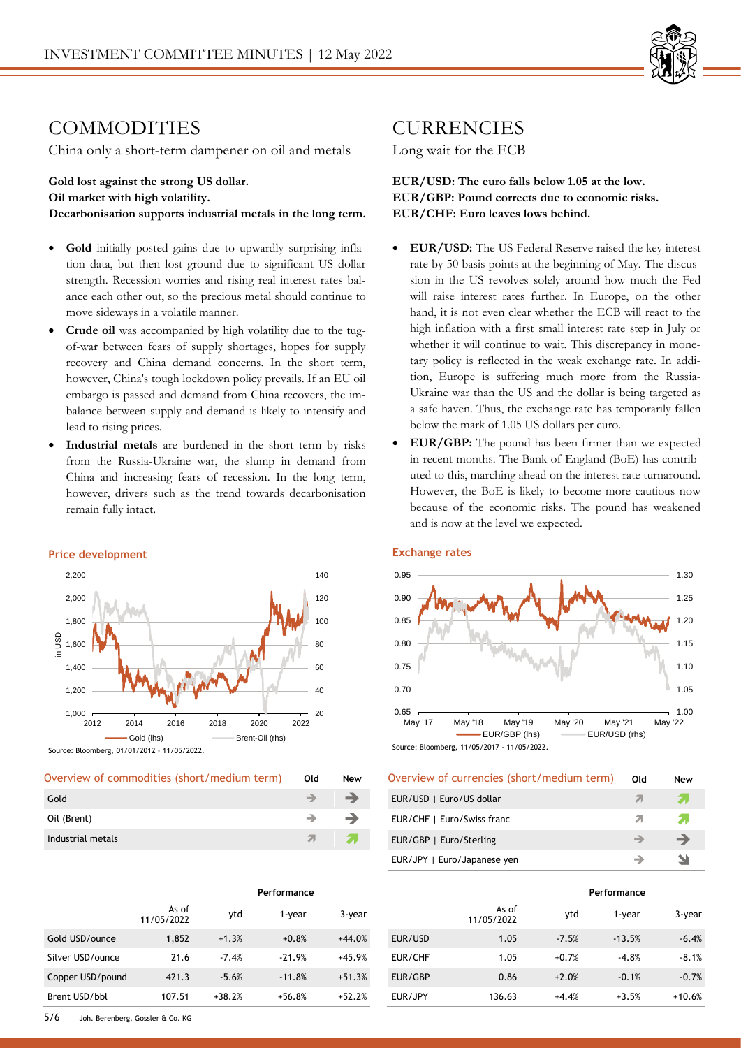

# COMMODITIES

China only a short-term dampener on oil and metals

**Gold lost against the strong US dollar. Oil market with high volatility. Decarbonisation supports industrial metals in the long term.**

- **Gold** initially posted gains due to upwardly surprising inflation data, but then lost ground due to significant US dollar strength. Recession worries and rising real interest rates balance each other out, so the precious metal should continue to move sideways in a volatile manner.
- **Crude oil** was accompanied by high volatility due to the tugof-war between fears of supply shortages, hopes for supply recovery and China demand concerns. In the short term, however, China's tough lockdown policy prevails. If an EU oil embargo is passed and demand from China recovers, the imbalance between supply and demand is likely to intensify and lead to rising prices.
- **Industrial metals** are burdened in the short term by risks from the Russia-Ukraine war, the slump in demand from China and increasing fears of recession. In the long term, however, drivers such as the trend towards decarbonisation remain fully intact.



### **Price development**

Source: Bloomberg, 01/01/2012 – 11/05/2022.

| Overview of commodities (short/medium term) | Old    | New            |
|---------------------------------------------|--------|----------------|
| Gold                                        |        | -              |
| Oil (Brent)                                 |        | <b>Service</b> |
| Industrial metals                           | - 71 - |                |

|                  |                     | Performance |          |          |
|------------------|---------------------|-------------|----------|----------|
|                  | As of<br>11/05/2022 | ytd         | 1-year   | 3-year   |
| Gold USD/ounce   | 1,852               | $+1.3%$     | $+0.8%$  | $+44.0%$ |
| Silver USD/ounce | 21.6                | $-7.4%$     | $-21.9%$ | $+45.9%$ |
| Copper USD/pound | 421.3               | $-5.6%$     | $-11.8%$ | $+51.3%$ |
| Brent USD/bbl    | 107.51              | $+38.2%$    | $+56.8%$ | $+52.2%$ |

## CURRENCIES

Long wait for the ECB

**EUR/USD: The euro falls below 1.05 at the low. EUR/GBP: Pound corrects due to economic risks. EUR/CHF: Euro leaves lows behind.**

- **EUR/USD:** The US Federal Reserve raised the key interest rate by 50 basis points at the beginning of May. The discussion in the US revolves solely around how much the Fed will raise interest rates further. In Europe, on the other hand, it is not even clear whether the ECB will react to the high inflation with a first small interest rate step in July or whether it will continue to wait. This discrepancy in monetary policy is reflected in the weak exchange rate. In addition, Europe is suffering much more from the Russia-Ukraine war than the US and the dollar is being targeted as a safe haven. Thus, the exchange rate has temporarily fallen below the mark of 1.05 US dollars per euro.
- **EUR/GBP:** The pound has been firmer than we expected in recent months. The Bank of England (BoE) has contributed to this, marching ahead on the interest rate turnaround. However, the BoE is likely to become more cautious now because of the economic risks. The pound has weakened and is now at the level we expected.

## **Exchange rates**



| 3000 CC, DUOINDER, TH/03/Z017 - TH/03/Z022. |  |  |
|---------------------------------------------|--|--|
|                                             |  |  |
|                                             |  |  |

| Overview of currencies (short/medium term) | Old | New |
|--------------------------------------------|-----|-----|
| EUR/USD   Euro/US dollar                   |     |     |
| EUR/CHF   Euro/Swiss franc                 |     | 21  |
| EUR/GBP   Euro/Sterling                    | →   | →   |
| EUR/JPY   Euro/Japanese yen                |     |     |

|         |                     |         | Performance |          |
|---------|---------------------|---------|-------------|----------|
|         | As of<br>11/05/2022 | ytd     | $1$ -year   | 3-year   |
| EUR/USD | 1.05                | $-7.5%$ | $-13.5%$    | $-6.4%$  |
| EUR/CHF | 1.05                | $+0.7%$ | $-4.8%$     | $-8.1%$  |
| EUR/GBP | 0.86                | $+2.0%$ | $-0.1%$     | $-0.7%$  |
| EUR/JPY | 136.63              | $+4.4%$ | $+3.5%$     | $+10.6%$ |

5/6 Joh. Berenberg, Gossler & Co. KG